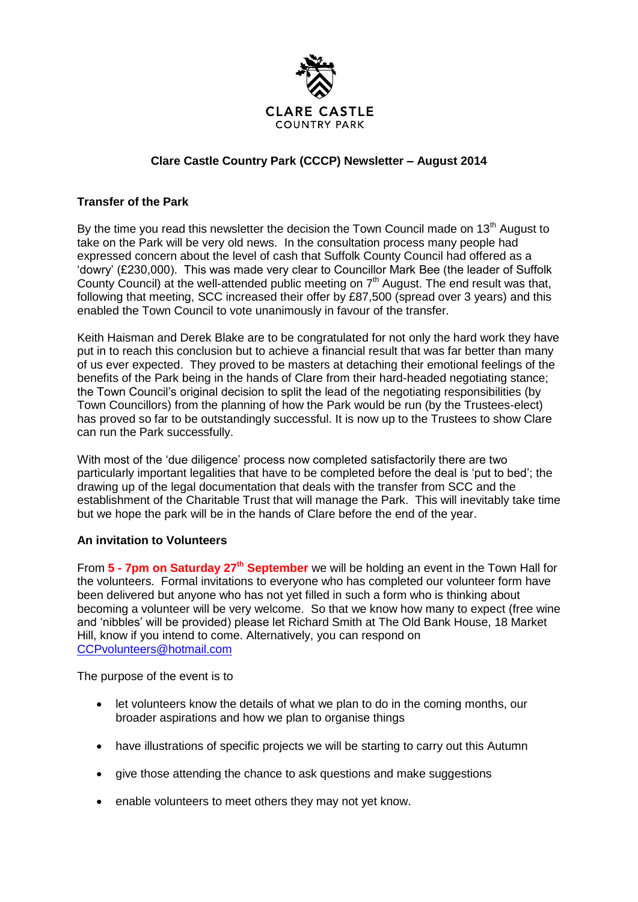

## **Clare Castle Country Park (CCCP) Newsletter – August 2014**

## **Transfer of the Park**

By the time you read this newsletter the decision the Town Council made on  $13<sup>th</sup>$  August to take on the Park will be very old news. In the consultation process many people had expressed concern about the level of cash that Suffolk County Council had offered as a 'dowry' (£230,000). This was made very clear to Councillor Mark Bee (the leader of Suffolk County Council) at the well-attended public meeting on  $7<sup>th</sup>$  August. The end result was that, following that meeting, SCC increased their offer by £87,500 (spread over 3 years) and this enabled the Town Council to vote unanimously in favour of the transfer.

Keith Haisman and Derek Blake are to be congratulated for not only the hard work they have put in to reach this conclusion but to achieve a financial result that was far better than many of us ever expected. They proved to be masters at detaching their emotional feelings of the benefits of the Park being in the hands of Clare from their hard-headed negotiating stance; the Town Council's original decision to split the lead of the negotiating responsibilities (by Town Councillors) from the planning of how the Park would be run (by the Trustees-elect) has proved so far to be outstandingly successful. It is now up to the Trustees to show Clare can run the Park successfully.

With most of the 'due diligence' process now completed satisfactorily there are two particularly important legalities that have to be completed before the deal is 'put to bed'; the drawing up of the legal documentation that deals with the transfer from SCC and the establishment of the Charitable Trust that will manage the Park. This will inevitably take time but we hope the park will be in the hands of Clare before the end of the year.

## **An invitation to Volunteers**

From **5 - 7pm on Saturday 27th September** we will be holding an event in the Town Hall for the volunteers. Formal invitations to everyone who has completed our volunteer form have been delivered but anyone who has not yet filled in such a form who is thinking about becoming a volunteer will be very welcome. So that we know how many to expect (free wine and 'nibbles' will be provided) please let Richard Smith at The Old Bank House, 18 Market Hill, know if you intend to come. Alternatively, you can respond on [CCPvolunteers@hotmail.com](mailto:CCPvolunteers@hotmail.com)

The purpose of the event is to

- let volunteers know the details of what we plan to do in the coming months, our broader aspirations and how we plan to organise things
- have illustrations of specific projects we will be starting to carry out this Autumn
- give those attending the chance to ask questions and make suggestions
- enable volunteers to meet others they may not yet know.